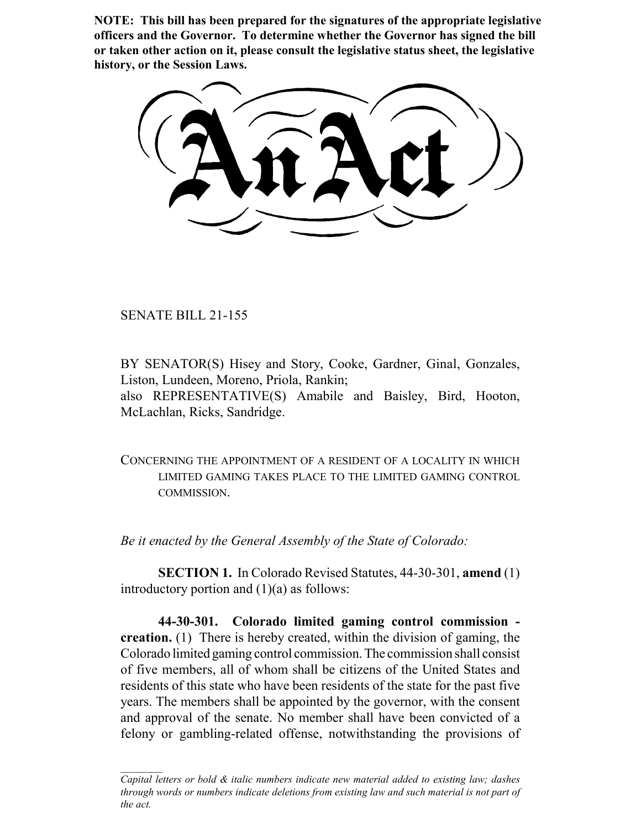**NOTE: This bill has been prepared for the signatures of the appropriate legislative officers and the Governor. To determine whether the Governor has signed the bill or taken other action on it, please consult the legislative status sheet, the legislative history, or the Session Laws.**

SENATE BILL 21-155

BY SENATOR(S) Hisey and Story, Cooke, Gardner, Ginal, Gonzales, Liston, Lundeen, Moreno, Priola, Rankin; also REPRESENTATIVE(S) Amabile and Baisley, Bird, Hooton, McLachlan, Ricks, Sandridge.

CONCERNING THE APPOINTMENT OF A RESIDENT OF A LOCALITY IN WHICH LIMITED GAMING TAKES PLACE TO THE LIMITED GAMING CONTROL COMMISSION.

*Be it enacted by the General Assembly of the State of Colorado:*

**SECTION 1.** In Colorado Revised Statutes, 44-30-301, **amend** (1) introductory portion and  $(1)(a)$  as follows:

**44-30-301. Colorado limited gaming control commission creation.** (1) There is hereby created, within the division of gaming, the Colorado limited gaming control commission. The commission shall consist of five members, all of whom shall be citizens of the United States and residents of this state who have been residents of the state for the past five years. The members shall be appointed by the governor, with the consent and approval of the senate. No member shall have been convicted of a felony or gambling-related offense, notwithstanding the provisions of

*Capital letters or bold & italic numbers indicate new material added to existing law; dashes through words or numbers indicate deletions from existing law and such material is not part of the act.*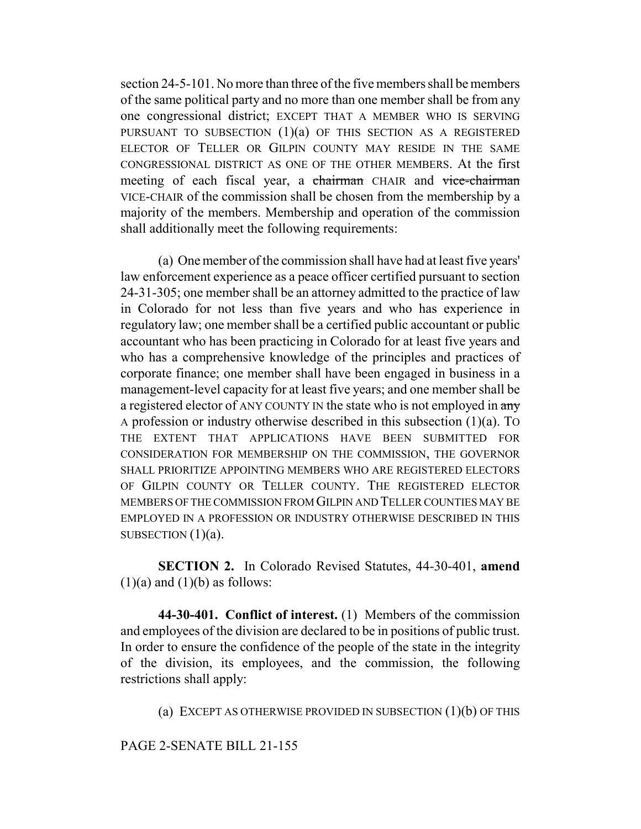section 24-5-101. No more than three of the five members shall be members of the same political party and no more than one member shall be from any one congressional district; EXCEPT THAT A MEMBER WHO IS SERVING PURSUANT TO SUBSECTION  $(1)(a)$  OF THIS SECTION AS A REGISTERED ELECTOR OF TELLER OR GILPIN COUNTY MAY RESIDE IN THE SAME CONGRESSIONAL DISTRICT AS ONE OF THE OTHER MEMBERS. At the first meeting of each fiscal year, a chairman CHAIR and vice-chairman VICE-CHAIR of the commission shall be chosen from the membership by a majority of the members. Membership and operation of the commission shall additionally meet the following requirements:

(a) One member of the commission shall have had at least five years' law enforcement experience as a peace officer certified pursuant to section 24-31-305; one member shall be an attorney admitted to the practice of law in Colorado for not less than five years and who has experience in regulatory law; one member shall be a certified public accountant or public accountant who has been practicing in Colorado for at least five years and who has a comprehensive knowledge of the principles and practices of corporate finance; one member shall have been engaged in business in a management-level capacity for at least five years; and one member shall be a registered elector of ANY COUNTY IN the state who is not employed in  $\frac{1}{2}$ A profession or industry otherwise described in this subsection (1)(a). TO THE EXTENT THAT APPLICATIONS HAVE BEEN SUBMITTED FOR CONSIDERATION FOR MEMBERSHIP ON THE COMMISSION, THE GOVERNOR SHALL PRIORITIZE APPOINTING MEMBERS WHO ARE REGISTERED ELECTORS OF GILPIN COUNTY OR TELLER COUNTY. THE REGISTERED ELECTOR MEMBERS OF THE COMMISSION FROM GILPIN AND TELLER COUNTIES MAY BE EMPLOYED IN A PROFESSION OR INDUSTRY OTHERWISE DESCRIBED IN THIS SUBSECTION  $(1)(a)$ .

**SECTION 2.** In Colorado Revised Statutes, 44-30-401, **amend**  $(1)(a)$  and  $(1)(b)$  as follows:

**44-30-401. Conflict of interest.** (1) Members of the commission and employees of the division are declared to be in positions of public trust. In order to ensure the confidence of the people of the state in the integrity of the division, its employees, and the commission, the following restrictions shall apply:

(a) EXCEPT AS OTHERWISE PROVIDED IN SUBSECTION  $(1)(b)$  OF THIS

## PAGE 2-SENATE BILL 21-155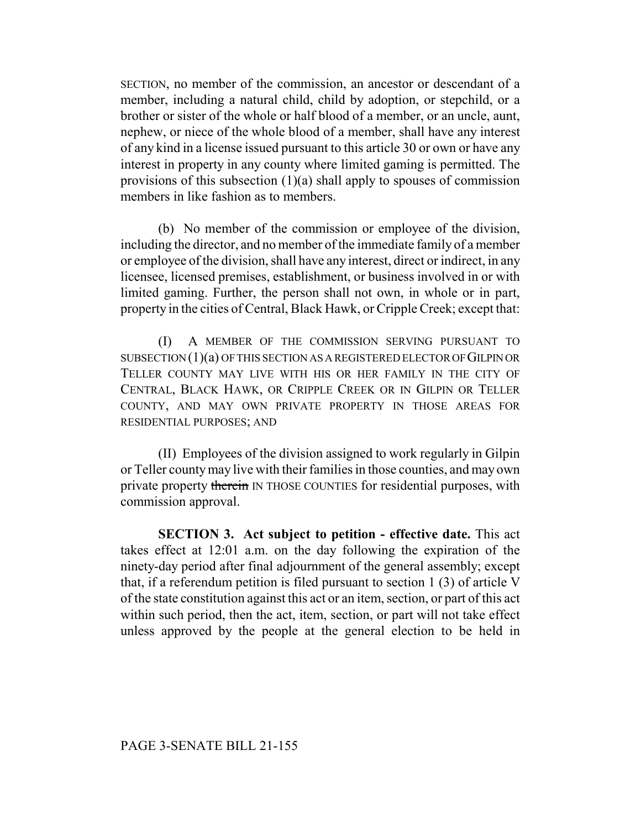SECTION, no member of the commission, an ancestor or descendant of a member, including a natural child, child by adoption, or stepchild, or a brother or sister of the whole or half blood of a member, or an uncle, aunt, nephew, or niece of the whole blood of a member, shall have any interest of any kind in a license issued pursuant to this article 30 or own or have any interest in property in any county where limited gaming is permitted. The provisions of this subsection (1)(a) shall apply to spouses of commission members in like fashion as to members.

(b) No member of the commission or employee of the division, including the director, and no member of the immediate family of a member or employee of the division, shall have any interest, direct or indirect, in any licensee, licensed premises, establishment, or business involved in or with limited gaming. Further, the person shall not own, in whole or in part, property in the cities of Central, Black Hawk, or Cripple Creek; except that:

(I) A MEMBER OF THE COMMISSION SERVING PURSUANT TO SUBSECTION (1)(a) OF THIS SECTION AS A REGISTERED ELECTOR OF GILPIN OR TELLER COUNTY MAY LIVE WITH HIS OR HER FAMILY IN THE CITY OF CENTRAL, BLACK HAWK, OR CRIPPLE CREEK OR IN GILPIN OR TELLER COUNTY, AND MAY OWN PRIVATE PROPERTY IN THOSE AREAS FOR RESIDENTIAL PURPOSES; AND

(II) Employees of the division assigned to work regularly in Gilpin or Teller county may live with their families in those counties, and may own private property therein IN THOSE COUNTIES for residential purposes, with commission approval.

**SECTION 3. Act subject to petition - effective date.** This act takes effect at 12:01 a.m. on the day following the expiration of the ninety-day period after final adjournment of the general assembly; except that, if a referendum petition is filed pursuant to section 1 (3) of article V of the state constitution against this act or an item, section, or part of this act within such period, then the act, item, section, or part will not take effect unless approved by the people at the general election to be held in